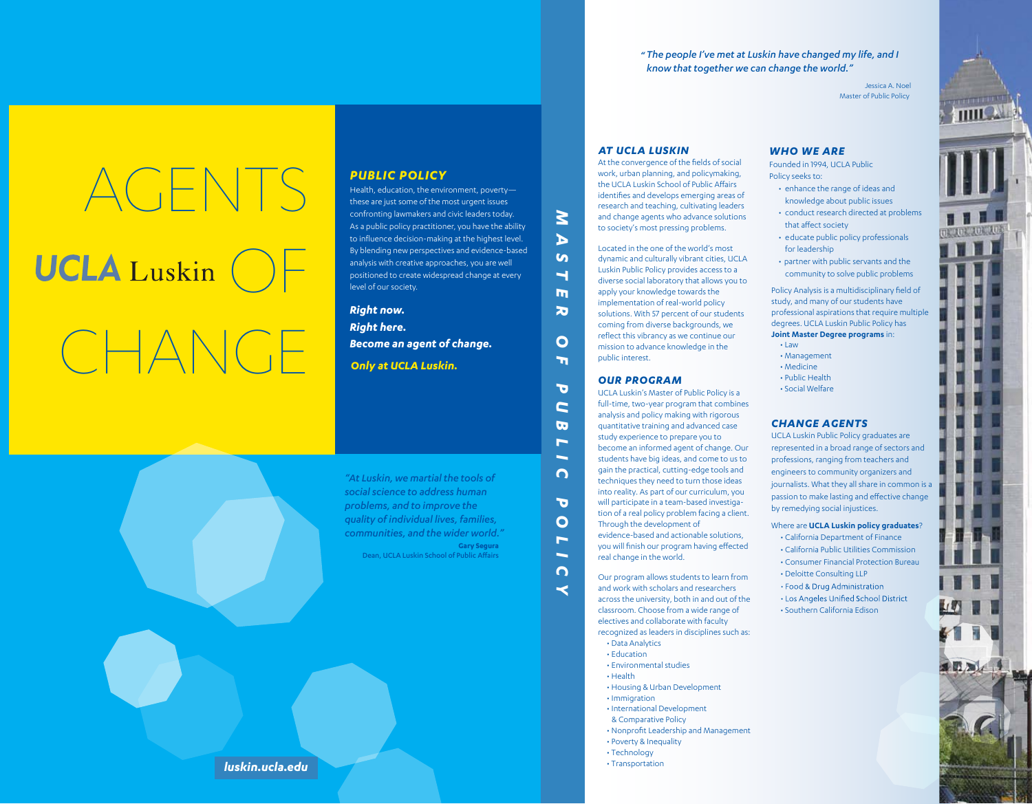*" The people I've met at Luskin have changed my life, and I know that together we can change the world."*

> Jessica A. Noel Master of Public Policy

# AGENTS **UCLA** Luskin ( CHANGE

### *PUBLIC POLICY*

Health, education, the environment, poverty these are just some of the most urgent issues confronting lawmakers and civic leaders today. As a public policy practitioner, you have the ability to influence decision-making at the highest level. By blending new perspectives and evidence-based analysis with creative approaches, you are well positioned to create widespread change at every level of our society.

**Right now. Right here.** *Only at UCLA Luskin. Become an agent of change.*

**Gary Segura** Dean, UCLA Luskin School of Public Affairs *"At Luskin, we martial the tools of communities, and the wider world."*

*social science to address human problems, and to improve the quality of individual lives, families,* 

### At the convergence of the fields of social

*M*

*A* **S T** 

*ER OF* 

 $\overline{O}$  $\mathbf{r}$ 

 $\mathbf{m}$  $\overline{\mathbf{z}}$ 

*P U B L*

*IC* 

*P O* $\overline{\phantom{a}}$ *I C*  $\prec$ 

work, urban planning, and policymaking, the UCLA Luskin School of Public Affairs identifies and develops emerging areas of research and teaching, cultivating leaders and change agents who advance solutions to society's most pressing problems.

*AT UCLA LUSKIN*

Located in the one of the world's most dynamic and culturally vibrant cities, UCLA Luskin Public Policy provides access to a diverse social laboratory that allows you to apply your knowledge towards the implementation of real-world policy solutions. With 57 percent of our students coming from diverse backgrounds, we reflect this vibrancy as we continue our mission to advance knowledge in the public interest.

#### *OUR PROGRAM*

 • Social Welfare UCLA Luskin's Master of Public Policy is a full-time, two-year program that combines analysis and policy making with rigorous quantitative training and advanced case study experience to prepare you to become an informed agent of change. Our students have big ideas, and come to us to gain the practical, cutting-edge tools and techniques they need to turn those ideas into reality. As part of our curriculum, you will participate in a team-based investigation of a real policy problem facing a client. Through the development of

evidence-based and actionable solutions, you will finish our program having effected real change in the world.

Our program allows students to learn from and work with scholars and researchers across the university, both in and out of the classroom. Choose from a wide range of electives and collaborate with faculty recognized as leaders in disciplines such as: • Data Analytics

- Education
- Environmental studies
- Health
- Housing & Urban Development • Immigration
- International Development
- & Comparative Policy
- Nonprofit Leadership and Management
- Poverty & Inequality
- Technology
- Transportation

#### *WHO WE ARE*

Founded in 1994, UCLA Public Policy seeks to:

- enhance the range of ideas and knowledge about public issues
- conduct research directed at problems that affect society
- educate public policy professionals for leadership
- partner with public servants and the community to solve public problems

Policy Analysis is a multidisciplinary field of study, and many of our students have professional aspirations that require multiple degrees. UCLA Luskin Public Policy has **Joint Master Degree programs** in:

- Law
- Management • Medicine
- Public Health
- 

# *CHANGE AGENTS*

UCLA Luskin Public Policy graduates are represented in a broad range of sectors and professions, ranging from teachers and engineers to community organizers and journalists. What they all share in common is a passion to make lasting and effective change by remedying social injustices.

#### Where are **UCLA Luskin policy graduates**?

• California Department of Finance • California Public Utilities Commission

- Consumer Financial Protection Bureau • Deloitte Consulting LLP
- Food & Drug Administration
- Los Angeles Unified School District
- Southern California Edison



*luskin.ucla.edu luskin.ucla.edu*